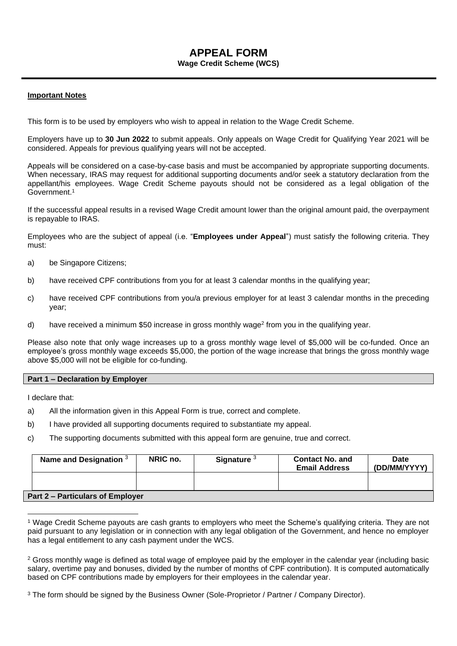# **APPEAL FORM**

# **Wage Credit Scheme (WCS)**

### **Important Notes**

This form is to be used by employers who wish to appeal in relation to the Wage Credit Scheme.

Employers have up to **30 Jun 2022** to submit appeals. Only appeals on Wage Credit for Qualifying Year 2021 will be considered. Appeals for previous qualifying years will not be accepted.

Appeals will be considered on a case-by-case basis and must be accompanied by appropriate supporting documents. When necessary, IRAS may request for additional supporting documents and/or seek a statutory declaration from the appellant/his employees. Wage Credit Scheme payouts should not be considered as a legal obligation of the Government. 1

If the successful appeal results in a revised Wage Credit amount lower than the original amount paid, the overpayment is repayable to IRAS.

Employees who are the subject of appeal (i.e. "**Employees under Appeal**") must satisfy the following criteria. They must:

- a) be Singapore Citizens;
- b) have received CPF contributions from you for at least 3 calendar months in the qualifying year;
- c) have received CPF contributions from you/a previous employer for at least 3 calendar months in the preceding year;
- d) have received a minimum \$50 increase in gross monthly wage<sup>2</sup> from you in the qualifying year.

Please also note that only wage increases up to a gross monthly wage level of \$5,000 will be co-funded. Once an employee's gross monthly wage exceeds \$5,000, the portion of the wage increase that brings the gross monthly wage above \$5,000 will not be eligible for co-funding.

#### **Part 1 – Declaration by Employer**

I declare that:

- a) All the information given in this Appeal Form is true, correct and complete.
- b) I have provided all supporting documents required to substantiate my appeal.
- c) The supporting documents submitted with this appeal form are genuine, true and correct.

| Name and Designation $3$                | NRIC no. | Signature <sup>3</sup> | <b>Contact No. and</b><br><b>Email Address</b> | Date<br>(DD/MM/YYYY) |  |  |  |  |  |
|-----------------------------------------|----------|------------------------|------------------------------------------------|----------------------|--|--|--|--|--|
|                                         |          |                        |                                                |                      |  |  |  |  |  |
| <b>Part 2 – Particulars of Employer</b> |          |                        |                                                |                      |  |  |  |  |  |

<sup>1</sup> Wage Credit Scheme payouts are cash grants to employers who meet the Scheme's qualifying criteria. They are not paid pursuant to any legislation or in connection with any legal obligation of the Government, and hence no employer has a legal entitlement to any cash payment under the WCS.

<sup>&</sup>lt;sup>2</sup> Gross monthly wage is defined as total wage of employee paid by the employer in the calendar year (including basic salary, overtime pay and bonuses, divided by the number of months of CPF contribution). It is computed automatically based on CPF contributions made by employers for their employees in the calendar year.

<sup>&</sup>lt;sup>3</sup> The form should be signed by the Business Owner (Sole-Proprietor / Partner / Company Director).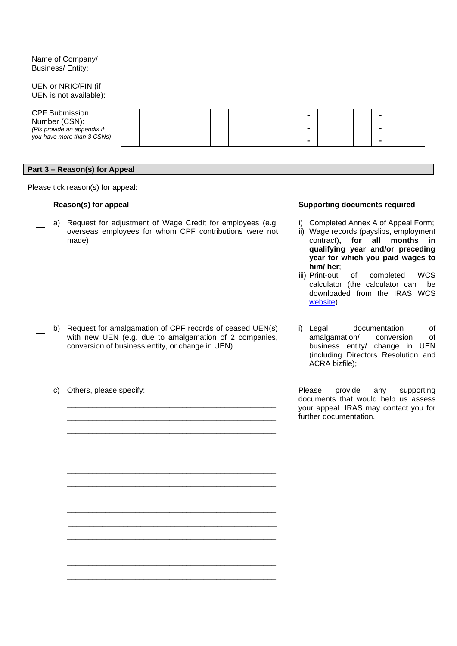| Name of Company/<br>Business/Entity:          |  |  |  |  |                          |  |  |  |
|-----------------------------------------------|--|--|--|--|--------------------------|--|--|--|
| UEN or NRIC/FIN (if<br>UEN is not available): |  |  |  |  |                          |  |  |  |
| <b>CPF Submission</b>                         |  |  |  |  | $\overline{\phantom{0}}$ |  |  |  |
| Number (CSN):<br>(Pls provide an appendix if  |  |  |  |  | $\overline{\phantom{0}}$ |  |  |  |
| you have more than 3 CSNs)                    |  |  |  |  | -                        |  |  |  |

#### **Part 3 – Reason(s) for Appeal**

Please tick reason(s) for appeal:

a) Request for adjustment of Wage Credit for employees (e.g. overseas employees for whom CPF contributions were not made)

b) Request for amalgamation of CPF records of ceased UEN(s) with new UEN (e.g. due to amalgamation of 2 companies,

conversion of business entity, or change in UEN)

#### **Reason(s) for appeal Supporting documents required**

- i) Completed Annex A of Appeal Form;
- ii) Wage records (payslips, employment contract)**, for all months in qualifying year and/or preceding year for which you paid wages to him/ her**;
- iii) Print-out of completed WCS calculator (the calculator can be downloaded from the IRAS WCS [website\)](http://www.iras.gov.sg/irasHome/wcs.aspx)
- i) Legal documentation of amalgamation/ conversion of business entity/ change in UEN (including Directors Resolution and ACRA bizfile);

Please provide any supporting documents that would help us assess your appeal. IRAS may contact you for further documentation.

\_\_\_\_\_\_\_\_\_\_\_\_\_\_\_\_\_\_\_\_\_\_\_\_\_\_\_\_\_\_\_\_\_\_\_\_\_\_\_\_\_\_\_\_\_\_\_\_\_ \_\_\_\_\_\_\_\_\_\_\_\_\_\_\_\_\_\_\_\_\_\_\_\_\_\_\_\_\_\_\_\_\_\_\_\_\_\_\_\_\_\_\_\_\_\_\_\_\_